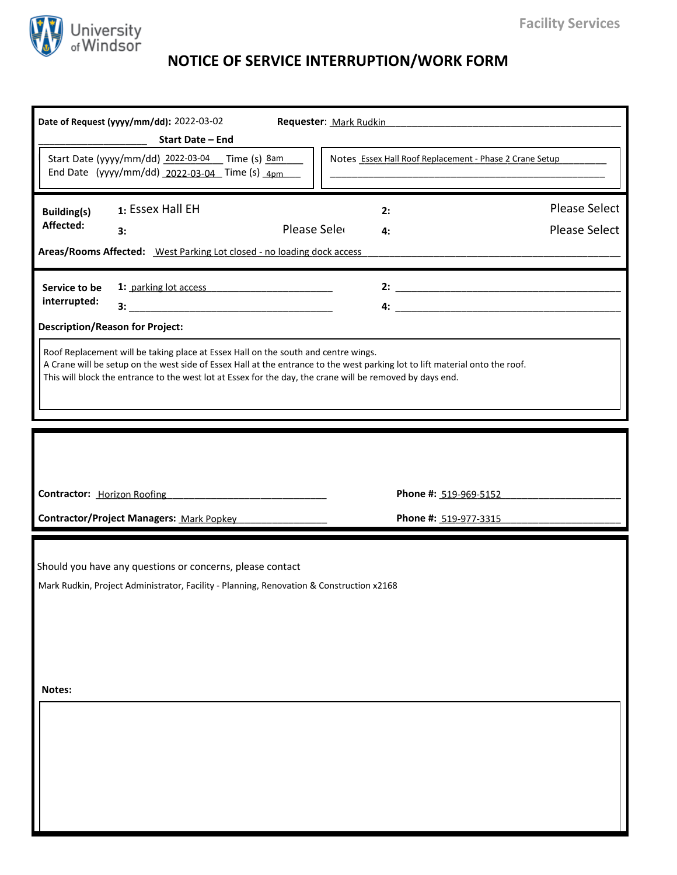

## **NOTICE OF SERVICE INTERRUPTION/WORK FORM**

|                                              | Date of Request (yyyy/mm/dd): 2022-03-02<br><b>Start Date - End</b>                                                                                   | Requester: Mark Rudkin                                                                                                                                                                                                                    |                                              |
|----------------------------------------------|-------------------------------------------------------------------------------------------------------------------------------------------------------|-------------------------------------------------------------------------------------------------------------------------------------------------------------------------------------------------------------------------------------------|----------------------------------------------|
|                                              | Start Date (yyyy/mm/dd) 2022-03-04 Time (s) 8am<br>End Date (yyyy/mm/dd) 2022-03-04 Time (s) 4pm                                                      | Notes Essex Hall Roof Replacement - Phase 2 Crane Setup                                                                                                                                                                                   |                                              |
| <b>Building(s)</b><br>Affected:              | 1: Essex Hall EH<br>3:<br>Areas/Rooms Affected: West Parking Lot closed - no loading dock access                                                      | 2:<br>Please Sele<br>4:                                                                                                                                                                                                                   | <b>Please Select</b><br><b>Please Select</b> |
| Service to be<br>interrupted:                | <b>Description/Reason for Project:</b>                                                                                                                |                                                                                                                                                                                                                                           | 2: $\frac{1}{2}$                             |
|                                              | Roof Replacement will be taking place at Essex Hall on the south and centre wings.                                                                    | A Crane will be setup on the west side of Essex Hall at the entrance to the west parking lot to lift material onto the roof.<br>This will block the entrance to the west lot at Essex for the day, the crane will be removed by days end. |                                              |
|                                              |                                                                                                                                                       |                                                                                                                                                                                                                                           |                                              |
|                                              |                                                                                                                                                       | Phone #: 519-969-5152                                                                                                                                                                                                                     |                                              |
|                                              | <b>Contractor/Project Managers: Mark Popkey</b>                                                                                                       | Phone #: 519-977-3315                                                                                                                                                                                                                     |                                              |
| <b>Contractor: Horizon Roofing</b><br>Notes: | Should you have any questions or concerns, please contact<br>Mark Rudkin, Project Administrator, Facility - Planning, Renovation & Construction x2168 |                                                                                                                                                                                                                                           |                                              |